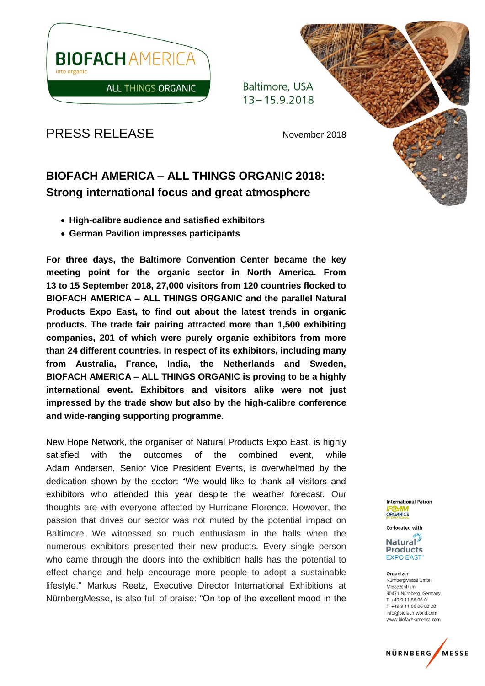

Baltimore, USA  $13 - 15.9.2018$ 

PRESS RELEASE November 2018

# **BIOFACH AMERICA – ALL THINGS ORGANIC 2018: Strong international focus and great atmosphere**

- **High-calibre audience and satisfied exhibitors**
- **German Pavilion impresses participants**

**For three days, the Baltimore Convention Center became the key meeting point for the organic sector in North America. From 13 to 15 September 2018, 27,000 visitors from 120 countries flocked to BIOFACH AMERICA – ALL THINGS ORGANIC and the parallel Natural Products Expo East, to find out about the latest trends in organic products. The trade fair pairing attracted more than 1,500 exhibiting companies, 201 of which were purely organic exhibitors from more than 24 different countries. In respect of its exhibitors, including many from Australia, France, India, the Netherlands and Sweden, BIOFACH AMERICA – ALL THINGS ORGANIC is proving to be a highly international event. Exhibitors and visitors alike were not just impressed by the trade show but also by the high-calibre conference and wide-ranging supporting programme.** 

New Hope Network, the organiser of Natural Products Expo East, is highly satisfied with the outcomes of the combined event, while Adam Andersen, Senior Vice President Events, is overwhelmed by the dedication shown by the sector: "We would like to thank all visitors and exhibitors who attended this year despite the weather forecast. Our thoughts are with everyone affected by Hurricane Florence. However, the passion that drives our sector was not muted by the potential impact on Baltimore. We witnessed so much enthusiasm in the halls when the numerous exhibitors presented their new products. Every single person who came through the doors into the exhibition halls has the potential to effect change and help encourage more people to adopt a sustainable lifestyle." Markus Reetz, Executive Director International Exhibitions at NürnbergMesse, is also full of praise: "On top of the excellent mood in the

**International Patron ORGANICS** 

**Co-located with** 

**Natural Products EXPO EAST** 

Organizer NürnbergMesse GmbH Messezentrum 90471 Nürnberg, Germany T +49 9 11 86 06-0 F +49 9 11 86 06-82 28 info@biofach-world.com www.biofach-america.com

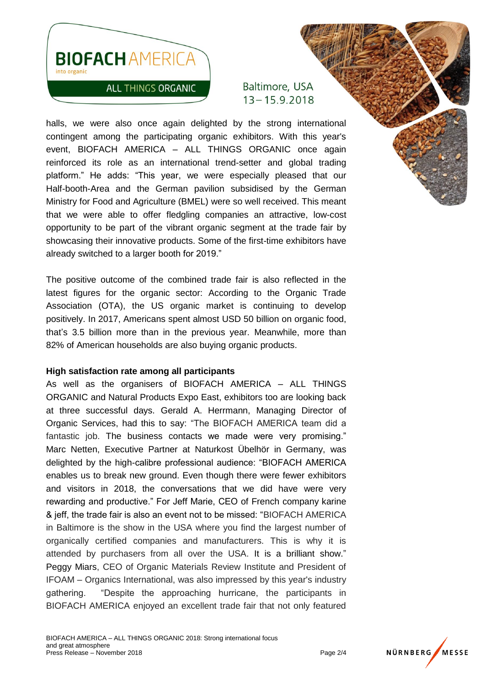

## **ALL THINGS ORGANIC**

Baltimore, USA  $13 - 15.9.2018$ 

halls, we were also once again delighted by the strong international contingent among the participating organic exhibitors. With this year's event, BIOFACH AMERICA – ALL THINGS ORGANIC once again reinforced its role as an international trend-setter and global trading platform." He adds: "This year, we were especially pleased that our Half-booth-Area and the German pavilion subsidised by the German Ministry for Food and Agriculture (BMEL) were so well received. This meant that we were able to offer fledgling companies an attractive, low-cost opportunity to be part of the vibrant organic segment at the trade fair by showcasing their innovative products. Some of the first-time exhibitors have already switched to a larger booth for 2019."

The positive outcome of the combined trade fair is also reflected in the latest figures for the organic sector: According to the Organic Trade Association (OTA), the US organic market is continuing to develop positively. In 2017, Americans spent almost USD 50 billion on organic food, that's 3.5 billion more than in the previous year. Meanwhile, more than 82% of American households are also buying organic products.

#### **High satisfaction rate among all participants**

As well as the organisers of BIOFACH AMERICA – ALL THINGS ORGANIC and Natural Products Expo East, exhibitors too are looking back at three successful days. Gerald A. Herrmann, Managing Director of Organic Services, had this to say: "The BIOFACH AMERICA team did a fantastic job. The business contacts we made were very promising." Marc Netten, Executive Partner at Naturkost Übelhör in Germany, was delighted by the high-calibre professional audience: "BIOFACH AMERICA enables us to break new ground. Even though there were fewer exhibitors and visitors in 2018, the conversations that we did have were very rewarding and productive." For Jeff Marie, CEO of French company karine & jeff, the trade fair is also an event not to be missed: "BIOFACH AMERICA in Baltimore is the show in the USA where you find the largest number of organically certified companies and manufacturers. This is why it is attended by purchasers from all over the USA. It is a brilliant show." Peggy Miars, CEO of Organic Materials Review Institute and President of IFOAM – Organics International, was also impressed by this year's industry gathering. "Despite the approaching hurricane, the participants in BIOFACH AMERICA enjoyed an excellent trade fair that not only featured

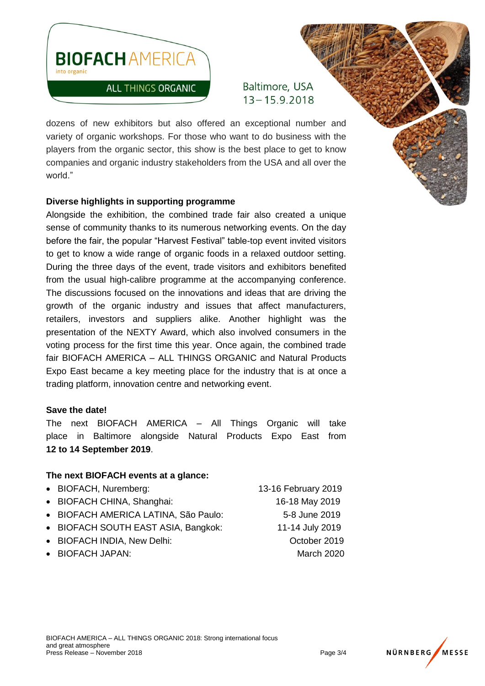

Baltimore, USA  $13 - 15.9.2018$ 

dozens of new exhibitors but also offered an exceptional number and variety of organic workshops. For those who want to do business with the players from the organic sector, this show is the best place to get to know companies and organic industry stakeholders from the USA and all over the world."

### **Diverse highlights in supporting programme**

Alongside the exhibition, the combined trade fair also created a unique sense of community thanks to its numerous networking events. On the day before the fair, the popular "Harvest Festival" table-top event invited visitors to get to know a wide range of organic foods in a relaxed outdoor setting. During the three days of the event, trade visitors and exhibitors benefited from the usual high-calibre programme at the accompanying conference. The discussions focused on the innovations and ideas that are driving the growth of the organic industry and issues that affect manufacturers, retailers, investors and suppliers alike. Another highlight was the presentation of the NEXTY Award, which also involved consumers in the voting process for the first time this year. Once again, the combined trade fair BIOFACH AMERICA – ALL THINGS ORGANIC and Natural Products Expo East became a key meeting place for the industry that is at once a trading platform, innovation centre and networking event.

#### **Save the date!**

The next BIOFACH AMERICA – All Things Organic will take place in Baltimore alongside Natural Products Expo East from **12 to 14 September 2019**.

## **The next BIOFACH events at a glance:**

| • BIOFACH, Nuremberg:                | 13-16 February 2019 |
|--------------------------------------|---------------------|
| • BIOFACH CHINA, Shanghai:           | 16-18 May 2019      |
| · BIOFACH AMERICA LATINA, São Paulo: | 5-8 June 2019       |
| • BIOFACH SOUTH EAST ASIA, Bangkok:  | 11-14 July 2019     |
| • BIOFACH INDIA, New Delhi:          | October 2019        |
| • BIOFACH JAPAN:                     | March 2020          |
|                                      |                     |